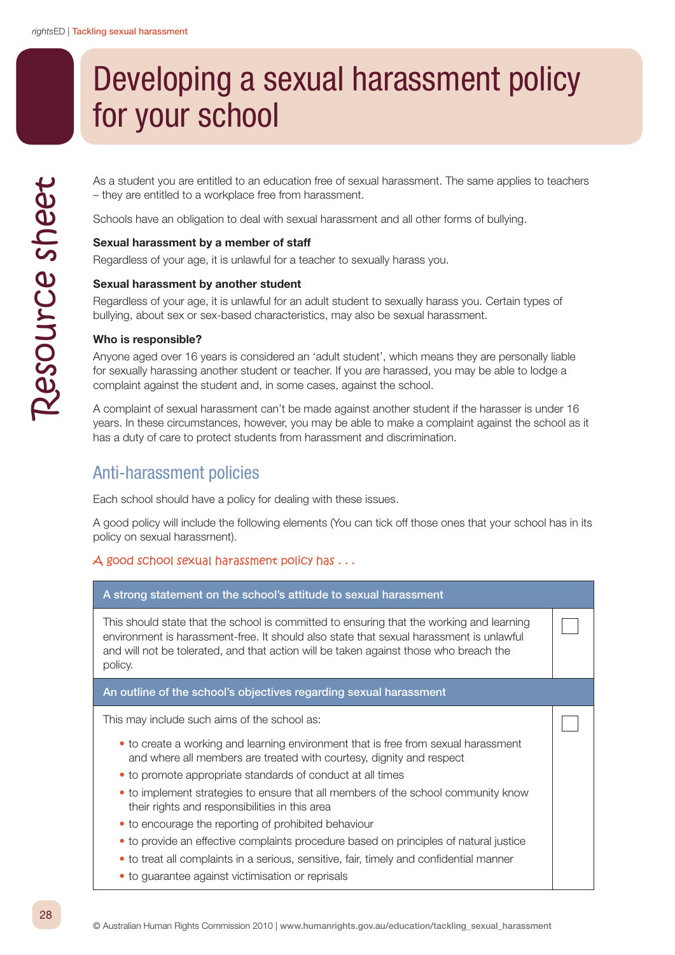# Developing a sexual harassment policy for your school

As a student you are entitled to an education free of sexual harassment. The same applies to teachers – they are entitled to a workplace free from harassment.

Schools have an obligation to deal with sexual harassment and all other forms of bullying.

## Sexual harassment by a member of staff

Regardless of your age, it is unlawful for a teacher to sexually harass you.

#### Sexual harassment by another student

Regardless of your age, it is unlawful for an adult student to sexually harass you. Certain types of bullying, about sex or sex-based characteristics, may also be sexual harassment.

#### Who is responsible?

Anyone aged over 16 years is considered an 'adult student', which means they are personally liable for sexually harassing another student or teacher. If you are harassed, you may be able to lodge a complaint against the student and, in some cases, against the school.

A complaint of sexual harassment can't be made against another student if the harasser is under 16 years. In these circumstances, however, you may be able to make a complaint against the school as it has a duty of care to protect students from harassment and discrimination.

## Anti-harassment policies

Each school should have a policy for dealing with these issues.

A good policy will include the following elements (You can tick off those ones that your school has in its policy on sexual harassment).

## A good school sexual harassment policy has . . .

| A strong statement on the school's attitude to sexual harassment                                                                                                                                                                                                                        |  |
|-----------------------------------------------------------------------------------------------------------------------------------------------------------------------------------------------------------------------------------------------------------------------------------------|--|
| This should state that the school is committed to ensuring that the working and learning<br>environment is harassment-free. It should also state that sexual harassment is unlawful<br>and will not be tolerated, and that action will be taken against those who breach the<br>policy. |  |
| An outline of the school's objectives regarding sexual harassment                                                                                                                                                                                                                       |  |
| This may include such aims of the school as:                                                                                                                                                                                                                                            |  |
| • to create a working and learning environment that is free from sexual harassment<br>and where all members are treated with courtesy, dignity and respect                                                                                                                              |  |
| • to promote appropriate standards of conduct at all times                                                                                                                                                                                                                              |  |
| • to implement strategies to ensure that all members of the school community know<br>their rights and responsibilities in this area                                                                                                                                                     |  |
| • to encourage the reporting of prohibited behaviour                                                                                                                                                                                                                                    |  |
| • to provide an effective complaints procedure based on principles of natural justice                                                                                                                                                                                                   |  |
| • to treat all complaints in a serious, sensitive, fair, timely and confidential manner                                                                                                                                                                                                 |  |
| • to guarantee against victimisation or reprisals                                                                                                                                                                                                                                       |  |